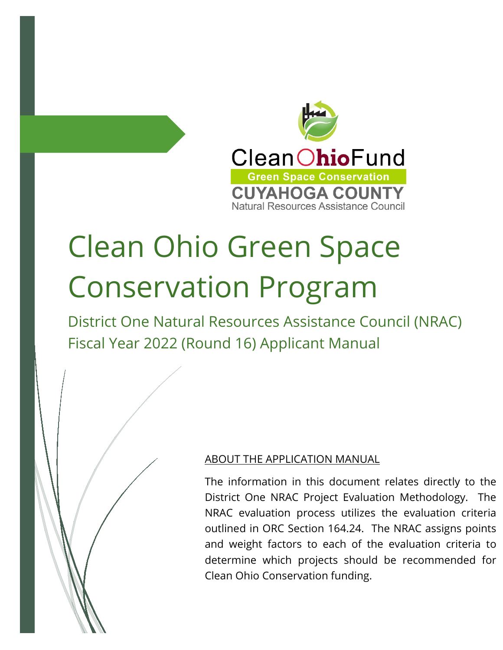

# Clean Ohio Green Space Conservation Program

District One Natural Resources Assistance Council (NRAC) Fiscal Year 2022 (Round 16) Applicant Manual

### ABOUT THE APPLICATION MANUAL

The information in this document relates directly to the District One NRAC Project Evaluation Methodology. The NRAC evaluation process utilizes the evaluation criteria outlined in ORC Section 164.24. The NRAC assigns points and weight factors to each of the evaluation criteria to determine which projects should be recommended for Clean Ohio Conservation funding.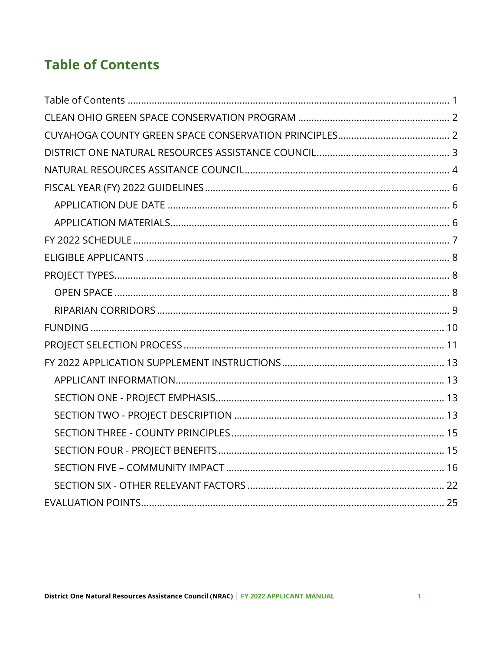# **Table of Contents**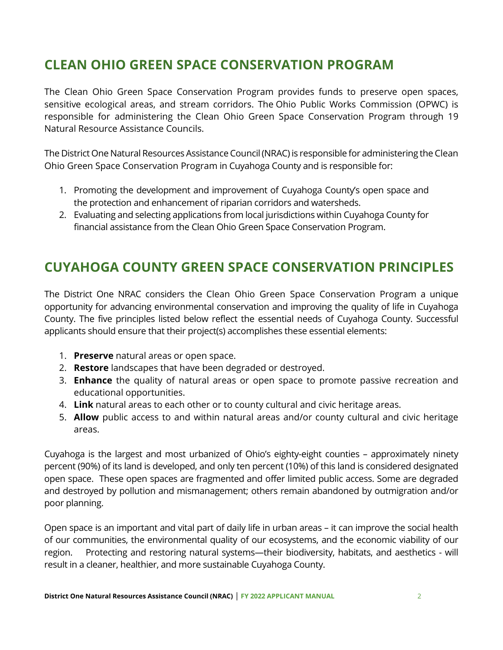# **CLEAN OHIO GREEN SPACE CONSERVATION PROGRAM**

The Clean Ohio Green Space Conservation Program provides funds to preserve open spaces, sensitive ecological areas, and stream corridors. The Ohio Public Works Commission (OPWC) is responsible for administering the Clean Ohio Green Space Conservation Program through 19 Natural Resource Assistance Councils.

The District One Natural Resources Assistance Council (NRAC) is responsible for administering the Clean Ohio Green Space Conservation Program in Cuyahoga County and is responsible for:

- 1. Promoting the development and improvement of Cuyahoga County's open space and the protection and enhancement of riparian corridors and watersheds.
- 2. Evaluating and selecting applications from local jurisdictions within Cuyahoga County for financial assistance from the Clean Ohio Green Space Conservation Program.

# **CUYAHOGA COUNTY GREEN SPACE CONSERVATION PRINCIPLES**

The District One NRAC considers the Clean Ohio Green Space Conservation Program a unique opportunity for advancing environmental conservation and improving the quality of life in Cuyahoga County. The five principles listed below reflect the essential needs of Cuyahoga County. Successful applicants should ensure that their project(s) accomplishes these essential elements:

- 1. **Preserve** natural areas or open space.
- 2. **Restore** landscapes that have been degraded or destroyed.
- 3. **Enhance** the quality of natural areas or open space to promote passive recreation and educational opportunities.
- 4. **Link** natural areas to each other or to county cultural and civic heritage areas.
- 5. **Allow** public access to and within natural areas and/or county cultural and civic heritage areas.

Cuyahoga is the largest and most urbanized of Ohio's eighty-eight counties – approximately ninety percent (90%) of its land is developed, and only ten percent (10%) of this land is considered designated open space. These open spaces are fragmented and offer limited public access. Some are degraded and destroyed by pollution and mismanagement; others remain abandoned by outmigration and/or poor planning.

Open space is an important and vital part of daily life in urban areas – it can improve the social health of our communities, the environmental quality of our ecosystems, and the economic viability of our region. Protecting and restoring natural systems—their biodiversity, habitats, and aesthetics - will result in a cleaner, healthier, and more sustainable Cuyahoga County.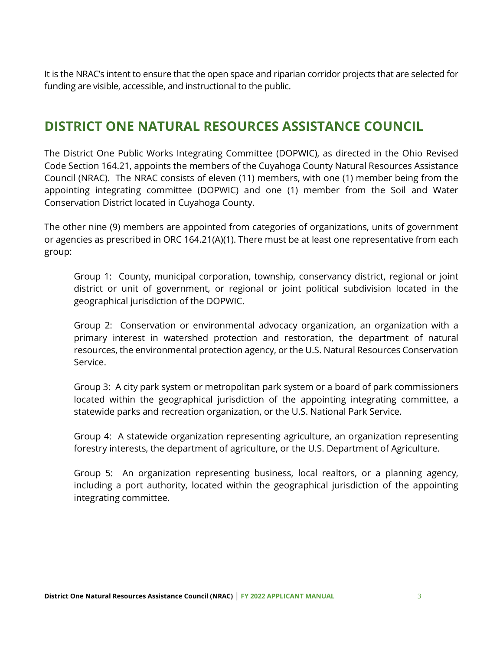It is the NRAC's intent to ensure that the open space and riparian corridor projects that are selected for funding are visible, accessible, and instructional to the public.

# **DISTRICT ONE NATURAL RESOURCES ASSISTANCE COUNCIL**

The District One Public Works Integrating Committee (DOPWIC), as directed in the Ohio Revised Code Section 164.21, appoints the members of the Cuyahoga County Natural Resources Assistance Council (NRAC). The NRAC consists of eleven (11) members, with one (1) member being from the appointing integrating committee (DOPWIC) and one (1) member from the Soil and Water Conservation District located in Cuyahoga County.

The other nine (9) members are appointed from categories of organizations, units of government or agencies as prescribed in ORC 164.21(A)(1). There must be at least one representative from each group:

Group 1: County, municipal corporation, township, conservancy district, regional or joint district or unit of government, or regional or joint political subdivision located in the geographical jurisdiction of the DOPWIC.

Group 2: Conservation or environmental advocacy organization, an organization with a primary interest in watershed protection and restoration, the department of natural resources, the environmental protection agency, or the U.S. Natural Resources Conservation Service.

Group 3: A city park system or metropolitan park system or a board of park commissioners located within the geographical jurisdiction of the appointing integrating committee, a statewide parks and recreation organization, or the U.S. National Park Service.

Group 4: A statewide organization representing agriculture, an organization representing forestry interests, the department of agriculture, or the U.S. Department of Agriculture.

Group 5: An organization representing business, local realtors, or a planning agency, including a port authority, located within the geographical jurisdiction of the appointing integrating committee.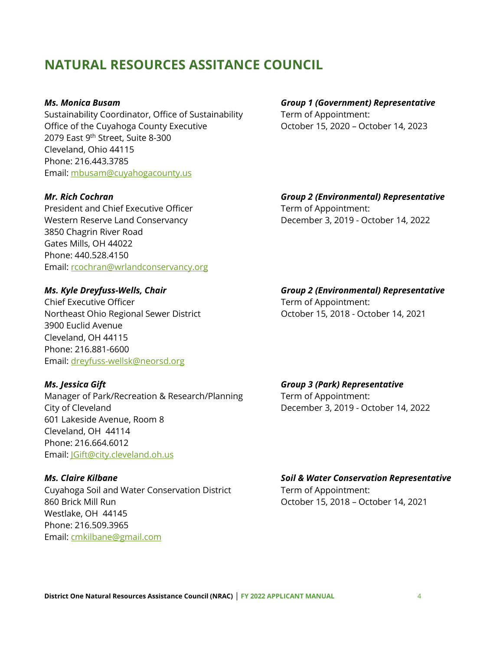# **NATURAL RESOURCES ASSITANCE COUNCIL**

Sustainability Coordinator, Office of Sustainability Term of Appointment: Office of the Cuyahoga County Executive **Connect Control Control** Cotober 15, 2020 – October 14, 2023 2079 East 9<sup>th</sup> Street, Suite 8-300 Cleveland, Ohio 44115 Phone: 216.443.3785 Email: mbusam@cuyahogacounty.us

President and Chief Executive Officer Term of Appointment: Western Reserve Land Conservancy **December 3, 2019 - October 14, 2022** 3850 Chagrin River Road Gates Mills, OH 44022 Phone: 440.528.4150 Email: rcochran@wrlandconservancy.org

Chief Executive Officer Term of Appointment: Northeast Ohio Regional Sewer District October 15, 2018 - October 14, 2021 3900 Euclid Avenue Cleveland, OH 44115 Phone: 216.881-6600 Email: dreyfuss-wellsk@neorsd.org

Manager of Park/Recreation & Research/Planning Term of Appointment: City of Cleveland December 3, 2019 - October 14, 2022 601 Lakeside Avenue, Room 8 Cleveland, OH 44114 Phone: 216.664.6012 Email: JGift@city.cleveland.oh.us

Cuyahoga Soil and Water Conservation District Term of Appointment: 860 Brick Mill Run October 15, 2018 – October 14, 2021 Westlake, OH 44145 Phone: 216.509.3965 Email: cmkilbane@gmail.com

*Ms. Monica Busam Group 1 (Government) Representative*

*Mr. Rich Cochran Group 2 (Environmental) Representative*

# *Ms. Kyle Dreyfuss-Wells, Chair Group 2 (Environmental) Representative*

*Ms. Jessica Gift Group 3 (Park) Representative*

#### *Ms. Claire Kilbane* Soil & Water Conservation Representative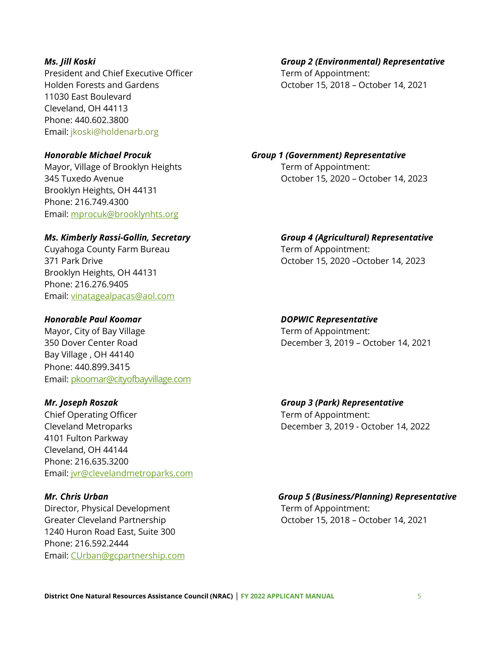President and Chief Executive Officer Term of Appointment: 11030 East Boulevard Cleveland, OH 44113 Phone: 440.602.3800 Email: jkoski@holdenarb.org

Mayor, Village of Brooklyn Heights Term of Appointment: Brooklyn Heights, OH 44131 Phone: 216.749.4300 Email: mprocuk@brooklynhts.org

Cuyahoga County Farm Bureau Term of Appointment: Brooklyn Heights, OH 44131 Phone: 216.276.9405 Email: vinatagealpacas@aol.com

#### *Honorable Paul Koomar DOPWIC Representative*

Mayor, City of Bay Village Term of Appointment: Bay Village , OH 44140 Phone: 440.899.3415 Email: pkoomar@cityofbayvillage.com

Chief Operating Officer Term of Appointment: Cleveland Metroparks December 3, 2019 - October 14, 2022 4101 Fulton Parkway Cleveland, OH 44144 Phone: 216.635.3200 Email: jvr@clevelandmetroparks.com

Director, Physical Development Term of Appointment: 1240 Huron Road East, Suite 300 Phone: 216.592.2444 Email: CUrban@gcpartnership.com

# *Ms. Jill Koski Group 2 (Environmental) Representative* Holden Forests and Gardens **Carrolling Community** October 15, 2018 – October 14, 2021

*Honorable Michael Procuk Group 1 (Government) Representative* 345 Tuxedo Avenue October 15, 2020 – October 14, 2023

#### *Ms. Kimberly Rassi-Gollin, Secretary Group 4 (Agricultural) Representative*

371 Park Drive October 15, 2020 –October 14, 2023

350 Dover Center Road December 3, 2019 – October 14, 2021

#### *Mr. Joseph Roszak Group 3 (Park) Representative*

#### *Mr. Chris Urban Group 5 (Business/Planning) Representative*

Greater Cleveland Partnership Careater Cleveland Partnership Controller 15, 2018 – October 14, 2021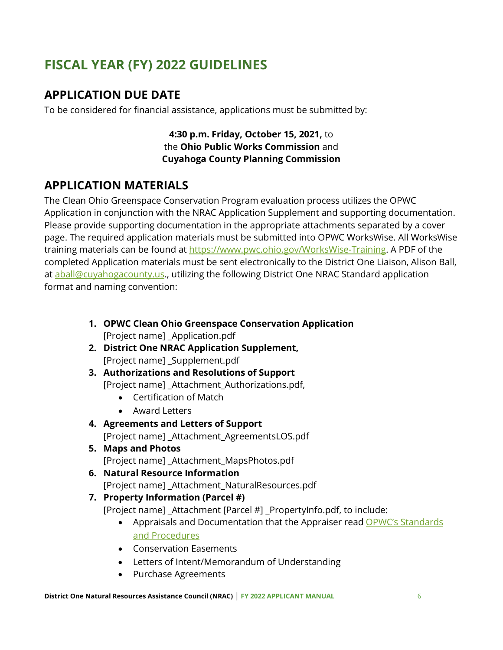# **FISCAL YEAR (FY) 2022 GUIDELINES**

## **APPLICATION DUE DATE**

To be considered for financial assistance, applications must be submitted by:

**4:30 p.m. Friday, October 15, 2021,** to the **Ohio Public Works Commission** and **Cuyahoga County Planning Commission**

## **APPLICATION MATERIALS**

The Clean Ohio Greenspace Conservation Program evaluation process utilizes the OPWC Application in conjunction with the NRAC Application Supplement and supporting documentation. Please provide supporting documentation in the appropriate attachments separated by a cover page. The required application materials must be submitted into OPWC WorksWise. All WorksWise training materials can be found at https://www.pwc.ohio.gov/WorksWise-Training. A PDF of the completed Application materials must be sent electronically to the District One Liaison, Alison Ball, at aball@cuyahogacounty.us., utilizing the following District One NRAC Standard application format and naming convention:

- **1. OPWC Clean Ohio Greenspace Conservation Application** [Project name] \_Application.pdf
- **2. District One NRAC Application Supplement,** [Project name] \_Supplement.pdf
- **3. Authorizations and Resolutions of Support** [Project name] \_Attachment\_Authorizations.pdf,
	- Certification of Match
	- Award Letters
- **4. Agreements and Letters of Support** [Project name] \_Attachment\_AgreementsLOS.pdf
- **5. Maps and Photos** [Project name] Attachment MapsPhotos.pdf
- **6. Natural Resource Information** [Project name] \_Attachment\_NaturalResources.pdf

#### **7. Property Information (Parcel #)**

[Project name] \_Attachment [Parcel #] \_PropertyInfo.pdf, to include:

- Appraisals and Documentation that the Appraiser read OPWC's Standards and Procedures
- Conservation Easements
- Letters of Intent/Memorandum of Understanding
- Purchase Agreements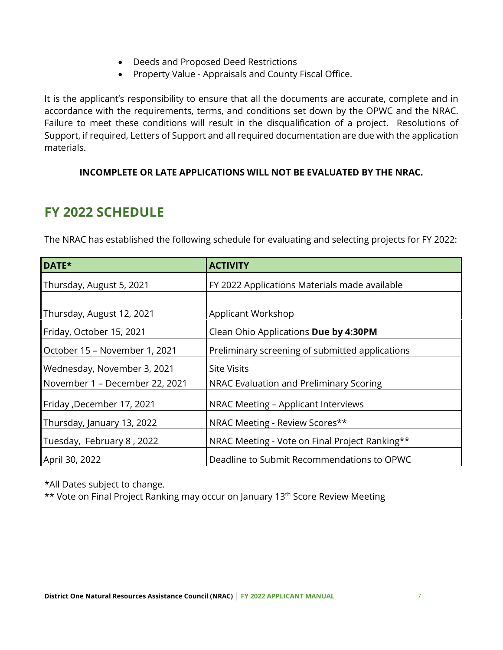- Deeds and Proposed Deed Restrictions
- Property Value Appraisals and County Fiscal Office.

It is the applicant's responsibility to ensure that all the documents are accurate, complete and in accordance with the requirements, terms, and conditions set down by the OPWC and the NRAC. Failure to meet these conditions will result in the disqualification of a project. Resolutions of Support, if required, Letters of Support and all required documentation are due with the application materials.

#### **INCOMPLETE OR LATE APPLICATIONS WILL NOT BE EVALUATED BY THE NRAC.**

# **FY 2022 SCHEDULE**

The NRAC has established the following schedule for evaluating and selecting projects for FY 2022:

| DATE*                          | <b>ACTIVITY</b>                                 |
|--------------------------------|-------------------------------------------------|
| Thursday, August 5, 2021       | FY 2022 Applications Materials made available   |
|                                |                                                 |
| Thursday, August 12, 2021      | Applicant Workshop                              |
| Friday, October 15, 2021       | Clean Ohio Applications Due by 4:30PM           |
| October 15 - November 1, 2021  | Preliminary screening of submitted applications |
| Wednesday, November 3, 2021    | <b>Site Visits</b>                              |
| November 1 - December 22, 2021 | NRAC Evaluation and Preliminary Scoring         |
| Friday, December 17, 2021      | NRAC Meeting - Applicant Interviews             |
| Thursday, January 13, 2022     | NRAC Meeting - Review Scores**                  |
| Tuesday, February 8, 2022      | NRAC Meeting - Vote on Final Project Ranking**  |
| April 30, 2022                 | Deadline to Submit Recommendations to OPWC      |

\*All Dates subject to change.

\*\* Vote on Final Project Ranking may occur on January 13<sup>th</sup> Score Review Meeting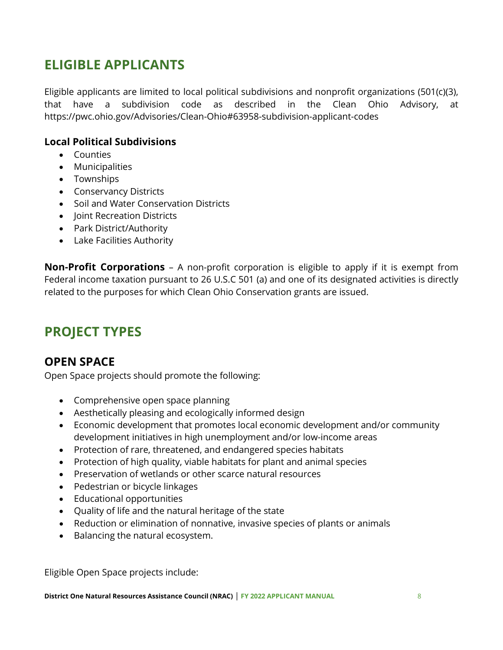# **ELIGIBLE APPLICANTS**

Eligible applicants are limited to local political subdivisions and nonprofit organizations (501(c)(3), that have a subdivision code as described in the Clean Ohio Advisory, at https://pwc.ohio.gov/Advisories/Clean-Ohio#63958-subdivision-applicant-codes

#### **Local Political Subdivisions**

- Counties
- Municipalities
- Townships
- Conservancy Districts
- Soil and Water Conservation Districts
- Joint Recreation Districts
- Park District/Authority
- Lake Facilities Authority

**Non-Profit Corporations** – A non-profit corporation is eligible to apply if it is exempt from Federal income taxation pursuant to 26 U.S.C 501 (a) and one of its designated activities is directly related to the purposes for which Clean Ohio Conservation grants are issued.

# **PROJECT TYPES**

### **OPEN SPACE**

Open Space projects should promote the following:

- Comprehensive open space planning
- Aesthetically pleasing and ecologically informed design
- Economic development that promotes local economic development and/or community development initiatives in high unemployment and/or low-income areas
- Protection of rare, threatened, and endangered species habitats
- Protection of high quality, viable habitats for plant and animal species
- Preservation of wetlands or other scarce natural resources
- Pedestrian or bicycle linkages
- Educational opportunities
- Quality of life and the natural heritage of the state
- Reduction or elimination of nonnative, invasive species of plants or animals
- Balancing the natural ecosystem.

Eligible Open Space projects include: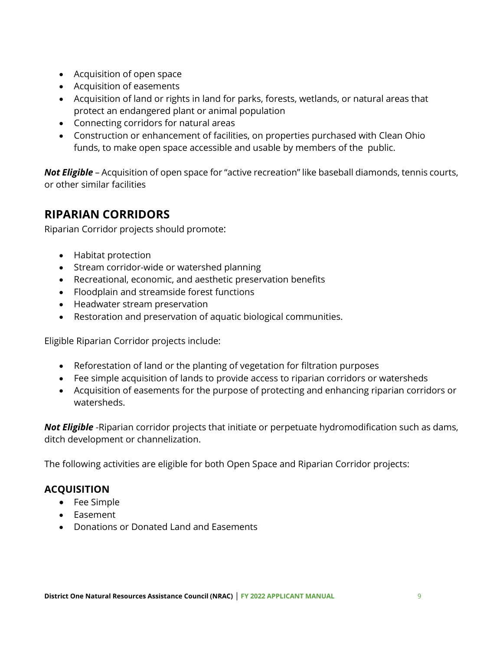- Acquisition of open space
- Acquisition of easements
- Acquisition of land or rights in land for parks, forests, wetlands, or natural areas that protect an endangered plant or animal population
- Connecting corridors for natural areas
- Construction or enhancement of facilities, on properties purchased with Clean Ohio funds, to make open space accessible and usable by members of the public.

*Not Eligible* – Acquisition of open space for "active recreation" like baseball diamonds, tennis courts, or other similar facilities

### **RIPARIAN CORRIDORS**

Riparian Corridor projects should promote:

- Habitat protection
- Stream corridor-wide or watershed planning
- Recreational, economic, and aesthetic preservation benefits
- Floodplain and streamside forest functions
- Headwater stream preservation
- Restoration and preservation of aquatic biological communities.

Eligible Riparian Corridor projects include:

- Reforestation of land or the planting of vegetation for filtration purposes
- Fee simple acquisition of lands to provide access to riparian corridors or watersheds
- Acquisition of easements for the purpose of protecting and enhancing riparian corridors or watersheds.

*Not Eligible* -Riparian corridor projects that initiate or perpetuate hydromodification such as dams, ditch development or channelization.

The following activities are eligible for both Open Space and Riparian Corridor projects:

### **ACQUISITION**

- Fee Simple
- Easement
- Donations or Donated Land and Easements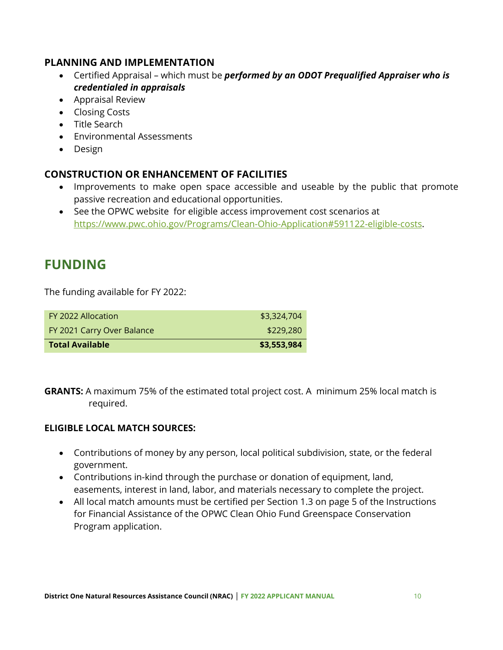#### **PLANNING AND IMPLEMENTATION**

- Certified Appraisal which must be *performed by an ODOT Prequalified Appraiser who is credentialed in appraisals*
- Appraisal Review
- Closing Costs
- Title Search
- Environmental Assessments
- Design

### **CONSTRUCTION OR ENHANCEMENT OF FACILITIES**

- Improvements to make open space accessible and useable by the public that promote passive recreation and educational opportunities.
- See the OPWC website for eligible access improvement cost scenarios at https://www.pwc.ohio.gov/Programs/Clean-Ohio-Application#591122-eligible-costs.

# **FUNDING**

The funding available for FY 2022:

| <b>Total Available</b>     | \$3,553,984 |
|----------------------------|-------------|
| FY 2021 Carry Over Balance | \$229,280   |
| FY 2022 Allocation         | \$3,324,704 |

**GRANTS:** A maximum 75% of the estimated total project cost. A minimum 25% local match is required.

#### **ELIGIBLE LOCAL MATCH SOURCES:**

- Contributions of money by any person, local political subdivision, state, or the federal government.
- Contributions in-kind through the purchase or donation of equipment, land, easements, interest in land, labor, and materials necessary to complete the project.
- All local match amounts must be certified per Section 1.3 on page 5 of the Instructions for Financial Assistance of the OPWC Clean Ohio Fund Greenspace Conservation Program application.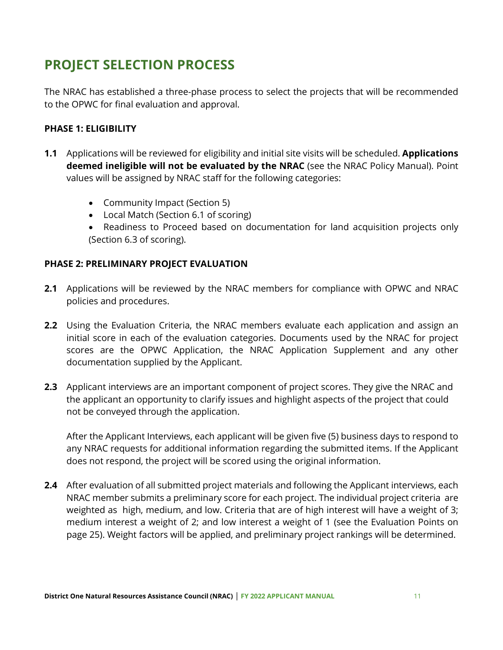# **PROJECT SELECTION PROCESS**

The NRAC has established a three-phase process to select the projects that will be recommended to the OPWC for final evaluation and approval.

#### **PHASE 1: ELIGIBILITY**

- **1.1** Applications will be reviewed for eligibility and initial site visits will be scheduled. **Applications deemed ineligible will not be evaluated by the NRAC** (see the NRAC Policy Manual). Point values will be assigned by NRAC staff for the following categories:
	- Community Impact (Section 5)
	- Local Match (Section 6.1 of scoring)
	- Readiness to Proceed based on documentation for land acquisition projects only (Section 6.3 of scoring).

#### **PHASE 2: PRELIMINARY PROJECT EVALUATION**

- **2.1** Applications will be reviewed by the NRAC members for compliance with OPWC and NRAC policies and procedures.
- **2.2** Using the Evaluation Criteria, the NRAC members evaluate each application and assign an initial score in each of the evaluation categories. Documents used by the NRAC for project scores are the OPWC Application, the NRAC Application Supplement and any other documentation supplied by the Applicant.
- **2.3** Applicant interviews are an important component of project scores. They give the NRAC and the applicant an opportunity to clarify issues and highlight aspects of the project that could not be conveyed through the application.

After the Applicant Interviews, each applicant will be given five (5) business days to respond to any NRAC requests for additional information regarding the submitted items. If the Applicant does not respond, the project will be scored using the original information.

**2.4** After evaluation of all submitted project materials and following the Applicant interviews, each NRAC member submits a preliminary score for each project. The individual project criteria are weighted as high, medium, and low. Criteria that are of high interest will have a weight of 3; medium interest a weight of 2; and low interest a weight of 1 (see the Evaluation Points on page 25). Weight factors will be applied, and preliminary project rankings will be determined.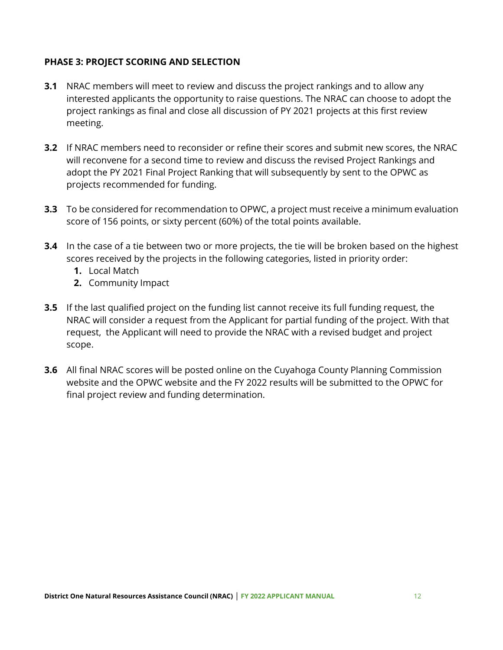#### **PHASE 3: PROJECT SCORING AND SELECTION**

- **3.1** NRAC members will meet to review and discuss the project rankings and to allow any interested applicants the opportunity to raise questions. The NRAC can choose to adopt the project rankings as final and close all discussion of PY 2021 projects at this first review meeting.
- **3.2** If NRAC members need to reconsider or refine their scores and submit new scores, the NRAC will reconvene for a second time to review and discuss the revised Project Rankings and adopt the PY 2021 Final Project Ranking that will subsequently by sent to the OPWC as projects recommended for funding.
- **3.3** To be considered for recommendation to OPWC, a project must receive a minimum evaluation score of 156 points, or sixty percent (60%) of the total points available.
- **3.4** In the case of a tie between two or more projects, the tie will be broken based on the highest scores received by the projects in the following categories, listed in priority order:
	- **1.** Local Match
	- **2.** Community Impact
- **3.5** If the last qualified project on the funding list cannot receive its full funding request, the NRAC will consider a request from the Applicant for partial funding of the project. With that request, the Applicant will need to provide the NRAC with a revised budget and project scope.
- **3.6** All final NRAC scores will be posted online on the Cuyahoga County Planning Commission website and the OPWC website and the FY 2022 results will be submitted to the OPWC for final project review and funding determination.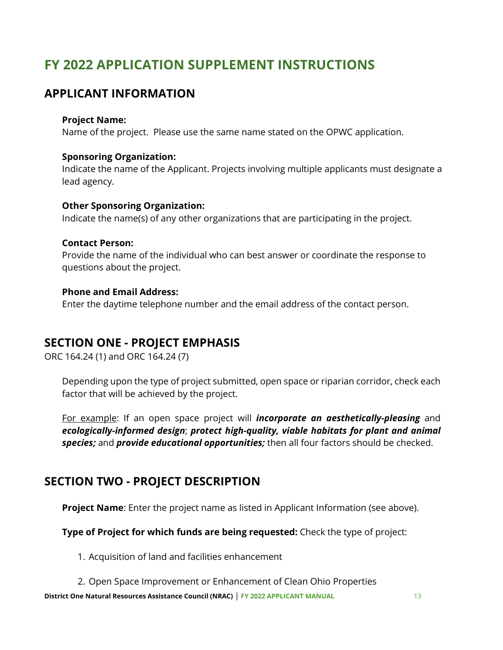# **FY 2022 APPLICATION SUPPLEMENT INSTRUCTIONS**

### **APPLICANT INFORMATION**

#### **Project Name:**

Name of the project. Please use the same name stated on the OPWC application.

#### **Sponsoring Organization:**

Indicate the name of the Applicant. Projects involving multiple applicants must designate a lead agency.

#### **Other Sponsoring Organization:**

Indicate the name(s) of any other organizations that are participating in the project.

#### **Contact Person:**

Provide the name of the individual who can best answer or coordinate the response to questions about the project.

#### **Phone and Email Address:**

Enter the daytime telephone number and the email address of the contact person.

### **SECTION ONE - PROJECT EMPHASIS**

ORC 164.24 (1) and ORC 164.24 (7)

Depending upon the type of project submitted, open space or riparian corridor, check each factor that will be achieved by the project.

For example: If an open space project will *incorporate an aesthetically-pleasing* and *ecologically-informed design*; *protect high-quality, viable habitats for plant and animal species;* and *provide educational opportunities;* then all four factors should be checked.

### **SECTION TWO - PROJECT DESCRIPTION**

**Project Name**: Enter the project name as listed in Applicant Information (see above).

**Type of Project for which funds are being requested:** Check the type of project:

1. Acquisition of land and facilities enhancement

2. Open Space Improvement or Enhancement of Clean Ohio Properties

**District One Natural Resources Assistance Council (NRAC)** | **FY 2022 APPLICANT MANUAL** 13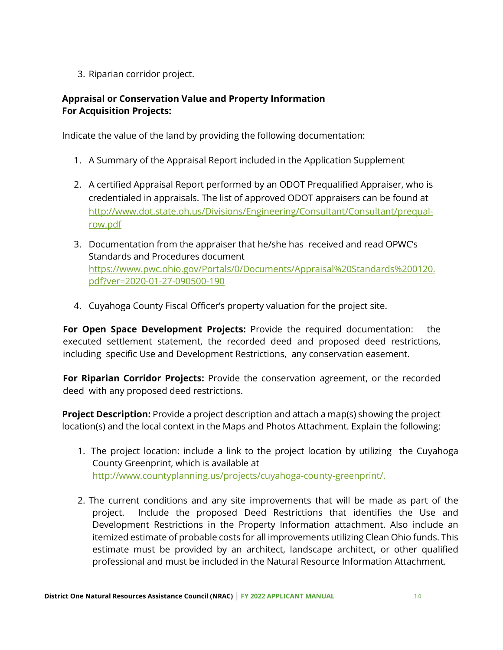3. Riparian corridor project.

#### **Appraisal or Conservation Value and Property Information For Acquisition Projects:**

Indicate the value of the land by providing the following documentation:

- 1. A Summary of the Appraisal Report included in the Application Supplement
- 2. A certified Appraisal Report performed by an ODOT Prequalified Appraiser, who is credentialed in appraisals. The list of approved ODOT appraisers can be found at http://www.dot.state.oh.us/Divisions/Engineering/Consultant/Consultant/prequalrow.pdf
- 3. Documentation from the appraiser that he/she has received and read OPWC's Standards and Procedures document https://www.pwc.ohio.gov/Portals/0/Documents/Appraisal%20Standards%200120. pdf?ver=2020-01-27-090500-190
- 4. Cuyahoga County Fiscal Officer's property valuation for the project site.

**For Open Space Development Projects:** Provide the required documentation: the executed settlement statement, the recorded deed and proposed deed restrictions, including specific Use and Development Restrictions, any conservation easement.

**For Riparian Corridor Projects:** Provide the conservation agreement, or the recorded deed with any proposed deed restrictions.

**Project Description:** Provide a project description and attach a map(s) showing the project location(s) and the local context in the Maps and Photos Attachment. Explain the following:

- 1. The project location: include a link to the project location by utilizing the Cuyahoga County Greenprint, which is available at http://www.countyplanning.us/projects/cuyahoga-county-greenprint/.
- 2. The current conditions and any site improvements that will be made as part of the project. Include the proposed Deed Restrictions that identifies the Use and Development Restrictions in the Property Information attachment. Also include an itemized estimate of probable costs for all improvements utilizing Clean Ohio funds. This estimate must be provided by an architect, landscape architect, or other qualified professional and must be included in the Natural Resource Information Attachment.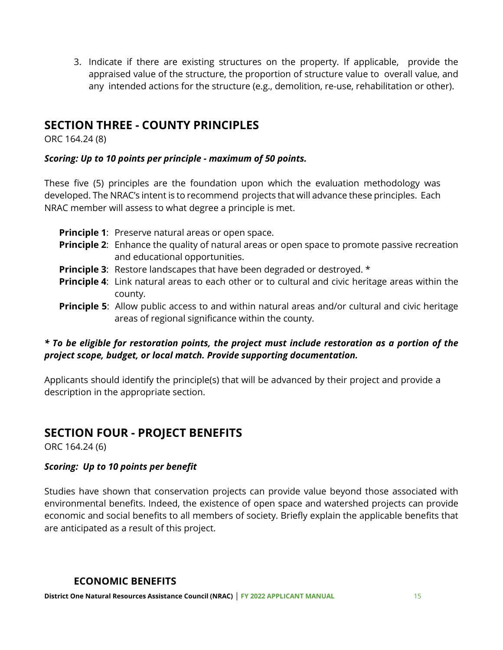3. Indicate if there are existing structures on the property. If applicable, provide the appraised value of the structure, the proportion of structure value to overall value, and any intended actions for the structure (e.g., demolition, re-use, rehabilitation or other).

### **SECTION THREE - COUNTY PRINCIPLES**

ORC 164.24 (8)

#### *Scoring: Up to 10 points per principle - maximum of 50 points.*

These five (5) principles are the foundation upon which the evaluation methodology was developed. The NRAC's intent is to recommend projects that will advance these principles. Each NRAC member will assess to what degree a principle is met.

- **Principle 1:** Preserve natural areas or open space. **Principle 2:** Enhance the quality of natural areas or open space to promote passive recreation and educational opportunities. **Principle 3:** Restore landscapes that have been degraded or destroyed. \* **Principle 4:** Link natural areas to each other or to cultural and civic heritage areas within the county.
- **Principle 5:** Allow public access to and within natural areas and/or cultural and civic heritage areas of regional significance within the county.

#### *\* To be eligible for restoration points, the project must include restoration as a portion of the project scope, budget, or local match. Provide supporting documentation.*

Applicants should identify the principle(s) that will be advanced by their project and provide a description in the appropriate section.

### **SECTION FOUR - PROJECT BENEFITS**

ORC 164.24 (6)

#### *Scoring: Up to 10 points per benefit*

Studies have shown that conservation projects can provide value beyond those associated with environmental benefits. Indeed, the existence of open space and watershed projects can provide economic and social benefits to all members of society. Briefly explain the applicable benefits that are anticipated as a result of this project.

#### **ECONOMIC BENEFITS**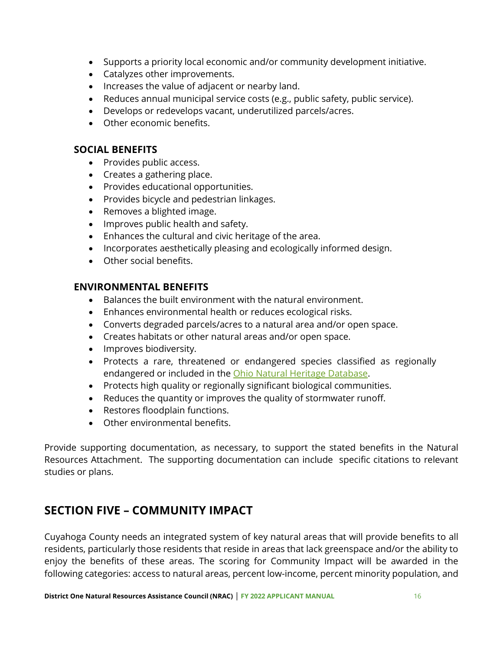- Supports a priority local economic and/or community development initiative.
- Catalyzes other improvements.
- Increases the value of adjacent or nearby land.
- Reduces annual municipal service costs (e.g., public safety, public service).
- Develops or redevelops vacant, underutilized parcels/acres.
- Other economic benefits.

#### **SOCIAL BENEFITS**

- Provides public access.
- Creates a gathering place.
- Provides educational opportunities.
- Provides bicycle and pedestrian linkages.
- Removes a blighted image.
- Improves public health and safety.
- Enhances the cultural and civic heritage of the area.
- Incorporates aesthetically pleasing and ecologically informed design.
- Other social benefits.

#### **ENVIRONMENTAL BENEFITS**

- Balances the built environment with the natural environment.
- Enhances environmental health or reduces ecological risks.
- Converts degraded parcels/acres to a natural area and/or open space.
- Creates habitats or other natural areas and/or open space.
- Improves biodiversity.
- Protects a rare, threatened or endangered species classified as regionally endangered or included in the Ohio Natural Heritage Database.
- Protects high quality or regionally significant biological communities.
- Reduces the quantity or improves the quality of stormwater runoff.
- Restores floodplain functions.
- Other environmental benefits.

Provide supporting documentation, as necessary, to support the stated benefits in the Natural Resources Attachment. The supporting documentation can include specific citations to relevant studies or plans.

### **SECTION FIVE – COMMUNITY IMPACT**

Cuyahoga County needs an integrated system of key natural areas that will provide benefits to all residents, particularly those residents that reside in areas that lack greenspace and/or the ability to enjoy the benefits of these areas. The scoring for Community Impact will be awarded in the following categories: access to natural areas, percent low-income, percent minority population, and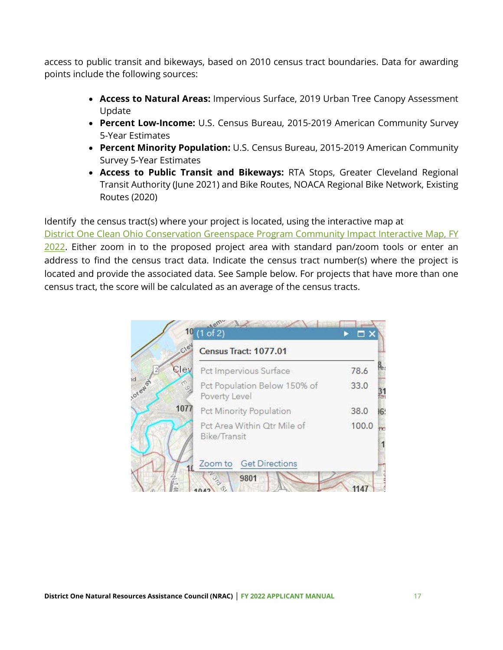access to public transit and bikeways, based on 2010 census tract boundaries. Data for awarding points include the following sources:

- **Access to Natural Areas:** Impervious Surface, 2019 Urban Tree Canopy Assessment Update
- **Percent Low-Income:** U.S. Census Bureau, 2015-2019 American Community Survey 5-Year Estimates
- **Percent Minority Population:** U.S. Census Bureau, 2015-2019 American Community Survey 5-Year Estimates
- **Access to Public Transit and Bikeways:** RTA Stops, Greater Cleveland Regional Transit Authority (June 2021) and Bike Routes, NOACA Regional Bike Network, Existing Routes (2020)

Identify the census tract(s) where your project is located, using the interactive map at District One Clean Ohio Conservation Greenspace Program Community Impact Interactive Map, FY 2022. Either zoom in to the proposed project area with standard pan/zoom tools or enter an address to find the census tract data. Indicate the census tract number(s) where the project is located and provide the associated data. See Sample below. For projects that have more than one census tract, the score will be calculated as an average of the census tracts.

| $C\backslash\mathcal{C}$ | Census Tract: 1077.01                         |       |
|--------------------------|-----------------------------------------------|-------|
| Clev                     | Pct Impervious Surface                        | 78.6  |
| ioreway<br>130           | Pct Population Below 150% of<br>Poverty Level | 33.0  |
| 1077                     | Pct Minority Population                       | 38.0  |
|                          | Pct Area Within Qtr Mile of<br>Bike/Transit   | 100.0 |
|                          | Zoom to Get Directions                        |       |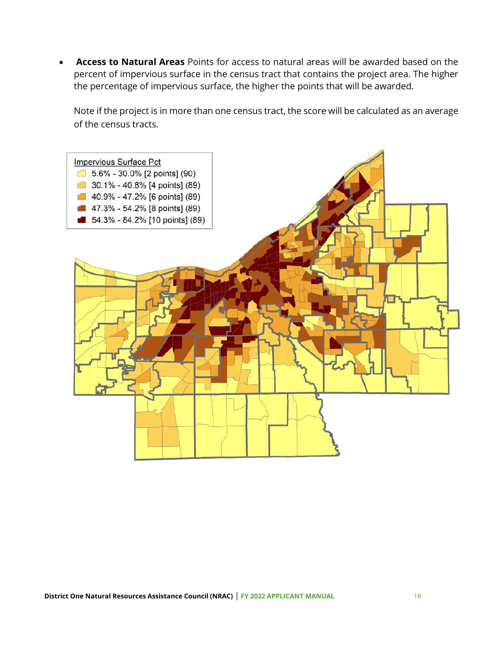• **Access to Natural Areas** Points for access to natural areas will be awarded based on the percent of impervious surface in the census tract that contains the project area. The higher the percentage of impervious surface, the higher the points that will be awarded.

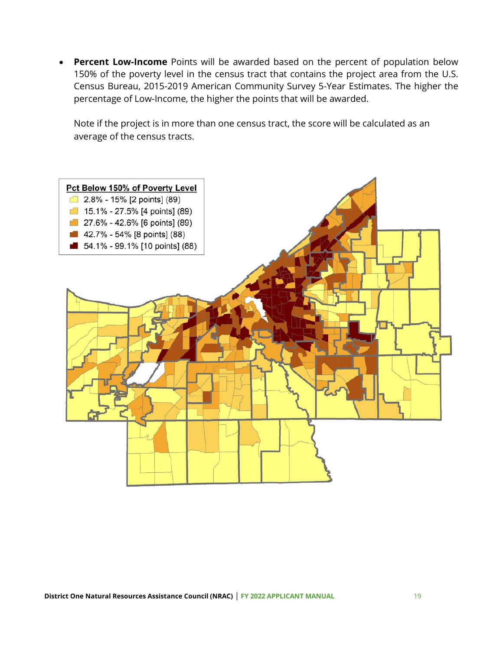• **Percent Low-Income** Points will be awarded based on the percent of population below 150% of the poverty level in the census tract that contains the project area from the U.S. Census Bureau, 2015-2019 American Community Survey 5-Year Estimates. The higher the percentage of Low-Income, the higher the points that will be awarded.

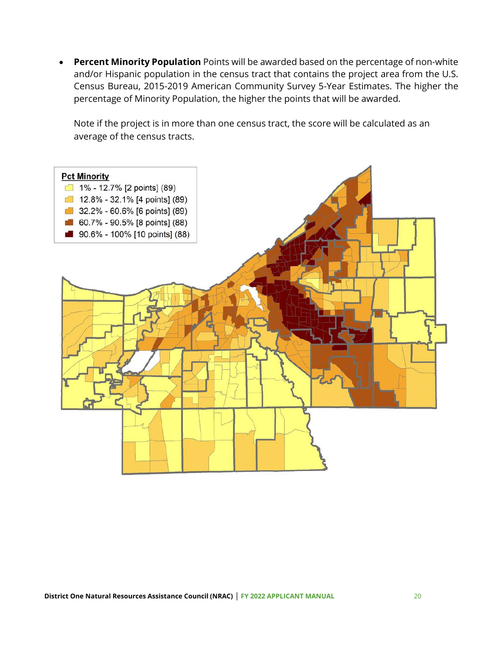• **Percent Minority Population** Points will be awarded based on the percentage of non-white and/or Hispanic population in the census tract that contains the project area from the U.S. Census Bureau, 2015-2019 American Community Survey 5-Year Estimates. The higher the percentage of Minority Population, the higher the points that will be awarded.

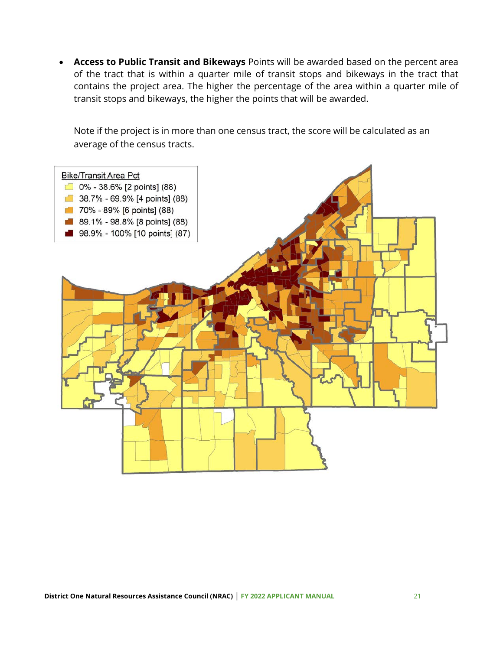• **Access to Public Transit and Bikeways** Points will be awarded based on the percent area of the tract that is within a quarter mile of transit stops and bikeways in the tract that contains the project area. The higher the percentage of the area within a quarter mile of transit stops and bikeways, the higher the points that will be awarded.

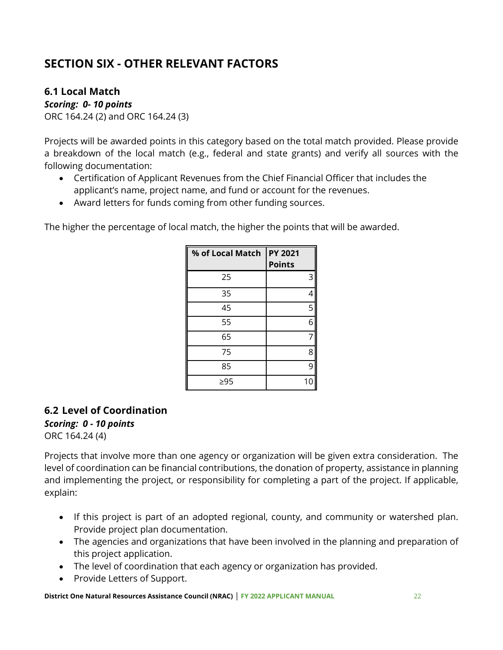# **SECTION SIX - OTHER RELEVANT FACTORS**

#### **6.1 Local Match**

*Scoring: 0- 10 points*

ORC 164.24 (2) and ORC 164.24 (3)

Projects will be awarded points in this category based on the total match provided. Please provide a breakdown of the local match (e.g., federal and state grants) and verify all sources with the following documentation:

- Certification of Applicant Revenues from the Chief Financial Officer that includes the applicant's name, project name, and fund or account for the revenues.
- Award letters for funds coming from other funding sources.

The higher the percentage of local match, the higher the points that will be awarded.

| % of Local Match | <b>PY 2021</b><br><b>Points</b> |
|------------------|---------------------------------|
| 25               | 3                               |
| 35               | 4                               |
| 45               | 5                               |
| 55               | 6                               |
| 65               | 7                               |
| 75               | 8                               |
| 85               | 9                               |
| ≥95              | 10                              |

#### **6.2 Level of Coordination**  *Scoring: 0 - 10 points* ORC 164.24 (4)

Projects that involve more than one agency or organization will be given extra consideration. The level of coordination can be financial contributions, the donation of property, assistance in planning and implementing the project, or responsibility for completing a part of the project. If applicable, explain:

- If this project is part of an adopted regional, county, and community or watershed plan. Provide project plan documentation.
- The agencies and organizations that have been involved in the planning and preparation of this project application.
- The level of coordination that each agency or organization has provided.
- Provide Letters of Support.

**District One Natural Resources Assistance Council (NRAC)** | **FY 2022 APPLICANT MANUAL** 22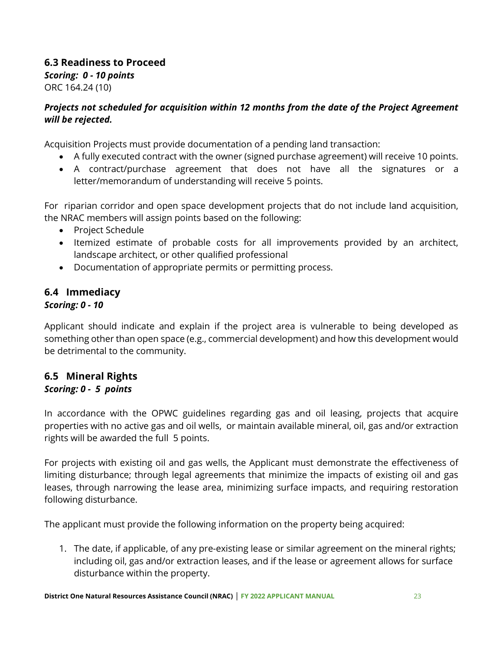#### **6.3 Readiness to Proceed** *Scoring: 0 - 10 points*  ORC 164.24 (10)

#### *Projects not scheduled for acquisition within 12 months from the date of the Project Agreement will be rejected.*

Acquisition Projects must provide documentation of a pending land transaction:

- A fully executed contract with the owner (signed purchase agreement) will receive 10 points.
- A contract/purchase agreement that does not have all the signatures or a letter/memorandum of understanding will receive 5 points.

For riparian corridor and open space development projects that do not include land acquisition, the NRAC members will assign points based on the following:

- Project Schedule
- Itemized estimate of probable costs for all improvements provided by an architect, landscape architect, or other qualified professional
- Documentation of appropriate permits or permitting process.

#### **6.4 Immediacy** *Scoring: 0 - 10*

Applicant should indicate and explain if the project area is vulnerable to being developed as something other than open space (e.g., commercial development) and how this development would be detrimental to the community.

#### **6.5 Mineral Rights** *Scoring: 0 - 5 points*

#### In accordance with the OPWC guidelines regarding gas and oil leasing, projects that acquire properties with no active gas and oil wells, or maintain available mineral, oil, gas and/or extraction rights will be awarded the full 5 points.

For projects with existing oil and gas wells, the Applicant must demonstrate the effectiveness of limiting disturbance; through legal agreements that minimize the impacts of existing oil and gas leases, through narrowing the lease area, minimizing surface impacts, and requiring restoration following disturbance.

The applicant must provide the following information on the property being acquired:

1. The date, if applicable, of any pre-existing lease or similar agreement on the mineral rights; including oil, gas and/or extraction leases, and if the lease or agreement allows for surface disturbance within the property.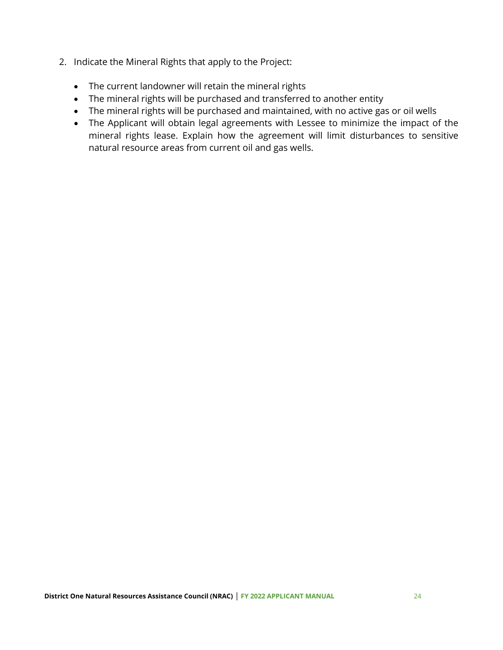- 2. Indicate the Mineral Rights that apply to the Project:
	- The current landowner will retain the mineral rights
	- The mineral rights will be purchased and transferred to another entity
	- The mineral rights will be purchased and maintained, with no active gas or oil wells
	- The Applicant will obtain legal agreements with Lessee to minimize the impact of the mineral rights lease. Explain how the agreement will limit disturbances to sensitive natural resource areas from current oil and gas wells.